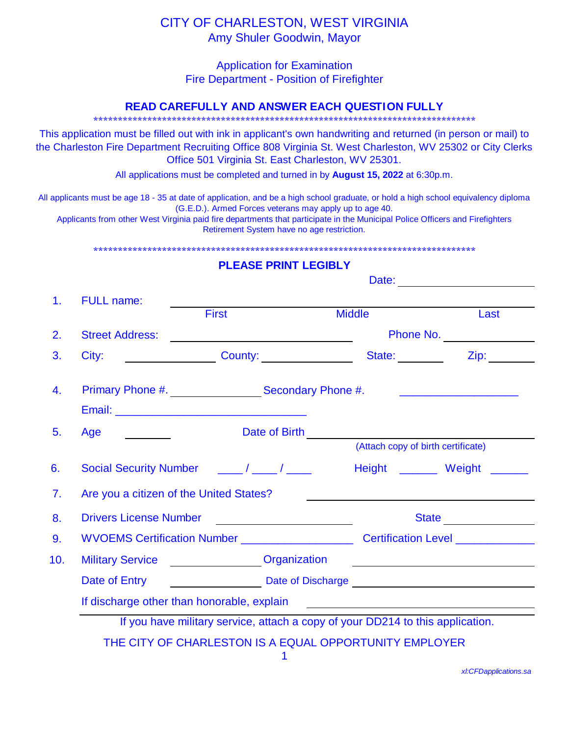## CITY OF CHARLESTON, WEST VIRGINIA Amy Shuler Goodwin, Mayor

Application for Examination Fire Department - Position of Firefighter

## **READ CAREFULLY AND ANSWER EACH QUESTION FULLY**

\*\*\*\*\*\*\*\*\*\*\*\*\*\*\*\*\*\*\*\*\*\*\*\*\*\*\*\*\*\*\*\*\*\*\*\*\*\*\*\*\*\*\*\*\*\*\*\*\*\*\*\*\*\*\*\*\*\*\*\*\*\*\*\*\*\*\*\*\*\*\*\*\*\*\*\*\*\*

This application must be filled out with ink in applicant's own handwriting and returned (in person or mail) to the Charleston Fire Department Recruiting Office 808 Virginia St. West Charleston, WV 25302 or City Clerks Office 501 Virginia St. East Charleston, WV 25301.

All applications must be completed and turned in by **August 15, 2022** at 6:30p.m.

All applicants must be age 18 - 35 at date of application, and be a high school graduate, or hold a high school equivalency diploma (G.E.D.). Armed Forces veterans may apply up to age 40.

Applicants from other West Virginia paid fire departments that participate in the Municipal Police Officers and Firefighters Retirement System have no age restriction.

\*\*\*\*\*\*\*\*\*\*\*\*\*\*\*\*\*\*\*\*\*\*\*\*\*\*\*\*\*\*\*\*\*\*\*\*\*\*\*\*\*\*\*\*\*\*\*\*\*\*\*\*\*\*\*\*\*\*\*\*\*\*\*\*\*\*\*\*\*\*\*\*\*\*\*\*\*\*

## **PLEASE PRINT LEGIBLY**

|     | <b>FULL name:</b>                                                                                                                                                                                                              |                                                                                   | Date:           |                                    |  |
|-----|--------------------------------------------------------------------------------------------------------------------------------------------------------------------------------------------------------------------------------|-----------------------------------------------------------------------------------|-----------------|------------------------------------|--|
| 1.  |                                                                                                                                                                                                                                | <b>First</b>                                                                      | <b>Middle</b>   | Last                               |  |
| 2.  | <b>Street Address:</b>                                                                                                                                                                                                         |                                                                                   |                 | Phone No.                          |  |
|     | City:                                                                                                                                                                                                                          |                                                                                   | State: ________ | <b>Zip:</b> 2001                   |  |
|     |                                                                                                                                                                                                                                | Primary Phone #. Secondary Phone #.                                               |                 |                                    |  |
| 5.  | Age                                                                                                                                                                                                                            | Date of Birth <u>January 1994</u>                                                 |                 | (Attach copy of birth certificate) |  |
|     |                                                                                                                                                                                                                                |                                                                                   |                 | Height _______ Weight ______       |  |
|     | Are you a citizen of the United States?                                                                                                                                                                                        |                                                                                   |                 |                                    |  |
|     | <b>Drivers License Number</b>                                                                                                                                                                                                  | <u> 1989 - Andrea Andrew Maria III (b. 1974)</u>                                  |                 | State <u>___________</u>           |  |
|     |                                                                                                                                                                                                                                | WVOEMS Certification Number _______________________ Certification Level _________ |                 |                                    |  |
| 10. |                                                                                                                                                                                                                                | Military Service <b>Constructs</b> Organization                                   |                 |                                    |  |
|     | Date of Entry                                                                                                                                                                                                                  | Date of Discharge <b>Example 2018</b> Discharge                                   |                 |                                    |  |
|     | If discharge other than honorable, explain<br>The manufactured contains the contract of the manufactured contains the contract of the contract of the contract of the contract of the contract of the contract of the contract |                                                                                   |                 |                                    |  |

*xl:CFDapplications.sa*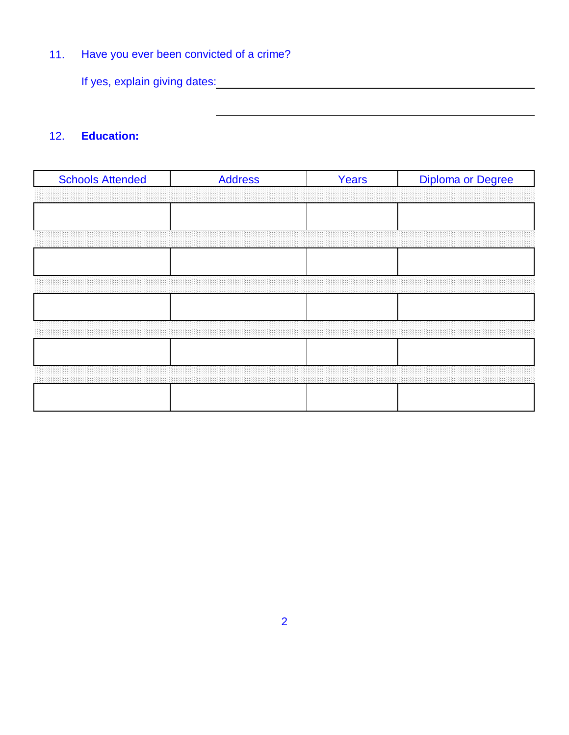Have you ever been convicted of a crime? 11. <u>and the contract of the contract of the contract of the contract of the contract of the contract of the contract of the contract of the contract of the contract of the contract of the contract of the contract of the contr</u> If yes, explain giving dates: **All any of the set of the set of the set of the set of the set of the set of the set of the set of the set of the set of the set of the set of the set of the set of the set of the set of the** 

## 12. **Education:**

| <b>Schools Attended</b> | <b>Address</b> | Years | <b>Diploma or Degree</b> |
|-------------------------|----------------|-------|--------------------------|
|                         |                |       |                          |
|                         |                |       |                          |
|                         |                |       |                          |
|                         |                |       |                          |
|                         |                |       |                          |
|                         |                |       |                          |
|                         |                |       |                          |
|                         |                |       |                          |
|                         |                |       |                          |
|                         |                |       |                          |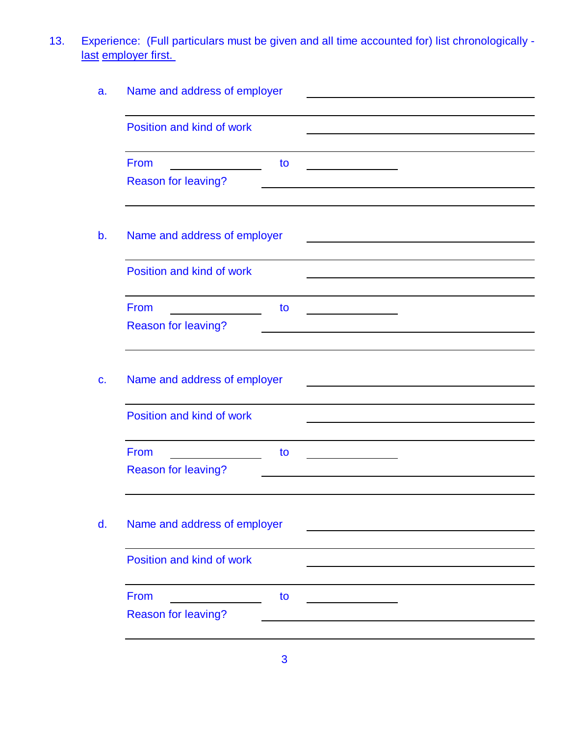13. Experience: (Full particulars must be given and all time accounted for) list chronologically last employer first.

|                              | Name and address of employer |  |  |  |
|------------------------------|------------------------------|--|--|--|
| Position and kind of work    |                              |  |  |  |
| From                         | to                           |  |  |  |
| Reason for leaving?          |                              |  |  |  |
| Name and address of employer |                              |  |  |  |
| Position and kind of work    |                              |  |  |  |
| From                         | to                           |  |  |  |
| <b>Reason for leaving?</b>   |                              |  |  |  |
| Name and address of employer |                              |  |  |  |
|                              |                              |  |  |  |
| Position and kind of work    |                              |  |  |  |
| From                         | to                           |  |  |  |
| <b>Reason for leaving?</b>   |                              |  |  |  |
| Name and address of employer |                              |  |  |  |
| Position and kind of work    |                              |  |  |  |
| From                         | to                           |  |  |  |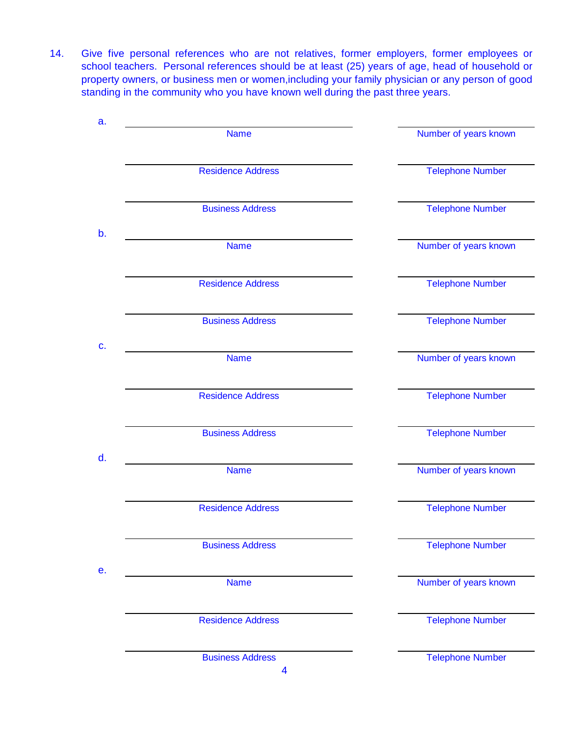14. Give five personal references who are not relatives, former employers, former employees or school teachers. Personal references should be at least (25) years of age, head of household or property owners, or business men or women,including your family physician or any person of good standing in the community who you have known well during the past three years.

| a. |                          |                         |
|----|--------------------------|-------------------------|
|    | <b>Name</b>              | Number of years known   |
|    | <b>Residence Address</b> | <b>Telephone Number</b> |
|    | <b>Business Address</b>  | <b>Telephone Number</b> |
| b. | <b>Name</b>              | Number of years known   |
|    | <b>Residence Address</b> | <b>Telephone Number</b> |
|    | <b>Business Address</b>  | <b>Telephone Number</b> |
| C. | <b>Name</b>              | Number of years known   |
|    | <b>Residence Address</b> | Telephone Number        |
|    | <b>Business Address</b>  | <b>Telephone Number</b> |
| d. | <b>Name</b>              | Number of years known   |
|    | <b>Residence Address</b> | <b>Telephone Number</b> |
|    | <b>Business Address</b>  | <b>Telephone Number</b> |
| е. | <b>Name</b>              | Number of years known   |
|    | <b>Residence Address</b> | <b>Telephone Number</b> |
|    | <b>Business Address</b>  | <b>Telephone Number</b> |

4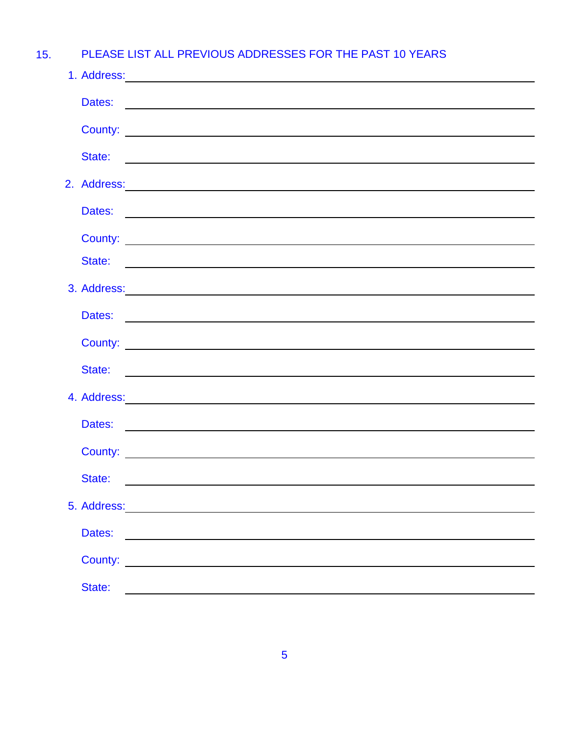15. PLEASE LIST ALL PREVIOUS ADDRESSES FOR THE PAST 10 YEARS

|        | 1. Address: 2008. 2009. 2009. 2009. 2009. 2009. 2009. 2009. 2009. 2009. 2009. 2009. 2009. 2009. 2009. 2009. 20                                                                                                                 |
|--------|--------------------------------------------------------------------------------------------------------------------------------------------------------------------------------------------------------------------------------|
|        |                                                                                                                                                                                                                                |
|        |                                                                                                                                                                                                                                |
| State: | <u> 1980 - Andrea Stadt Britain, amerikan bestean ingilang pada sebagai pada sebagai pada sebagai pada sebagai pa</u>                                                                                                          |
|        | 2. Address: 2. Address:                                                                                                                                                                                                        |
|        |                                                                                                                                                                                                                                |
|        |                                                                                                                                                                                                                                |
|        |                                                                                                                                                                                                                                |
|        | 3. Address: 2008. Contract of the contract of the contract of the contract of the contract of the contract of the contract of the contract of the contract of the contract of the contract of the contract of the contract of  |
|        |                                                                                                                                                                                                                                |
|        |                                                                                                                                                                                                                                |
|        |                                                                                                                                                                                                                                |
|        |                                                                                                                                                                                                                                |
|        | 4. Address: 2008. Communication of the contract of the contract of the contract of the contract of the contract of the contract of the contract of the contract of the contract of the contract of the contract of the contrac |
|        |                                                                                                                                                                                                                                |
|        |                                                                                                                                                                                                                                |
| State: |                                                                                                                                                                                                                                |
|        |                                                                                                                                                                                                                                |
| Dates: |                                                                                                                                                                                                                                |
|        | County:                                                                                                                                                                                                                        |
| State: | <u> 1989 - John Stein, mars and de Brazilian (b. 1989)</u>                                                                                                                                                                     |